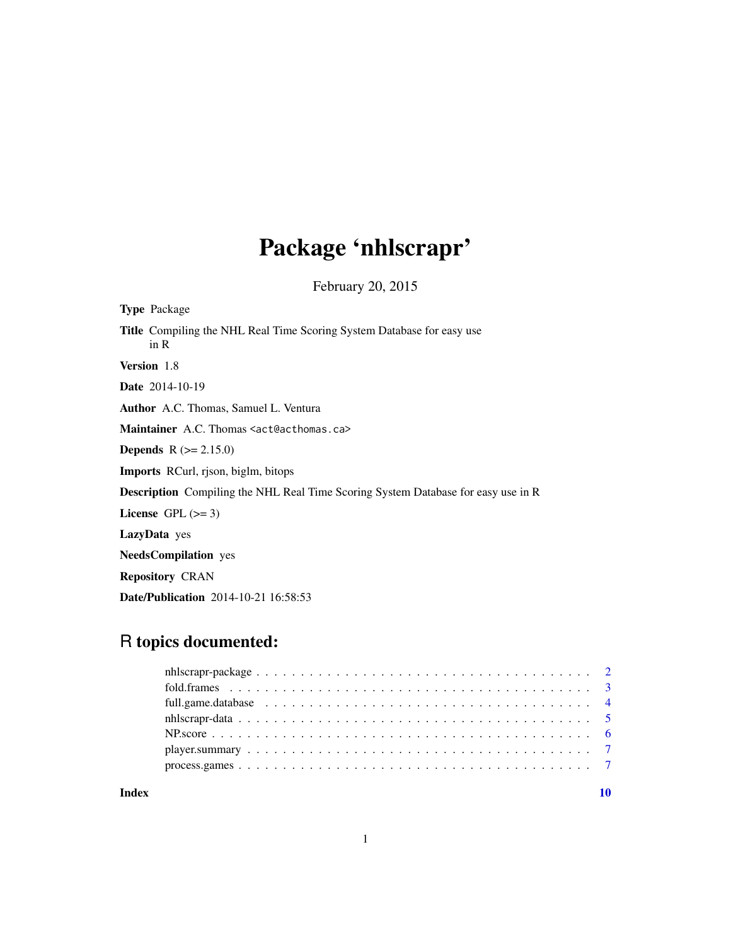# Package 'nhlscrapr'

February 20, 2015

| <b>Type Package</b>                                                                      |
|------------------------------------------------------------------------------------------|
| <b>Title</b> Compiling the NHL Real Time Scoring System Database for easy use<br>in R    |
| <b>Version</b> 1.8                                                                       |
| <b>Date</b> 2014-10-19                                                                   |
| <b>Author</b> A.C. Thomas, Samuel L. Ventura                                             |
| Maintainer A.C. Thomas <act@acthomas.ca></act@acthomas.ca>                               |
| <b>Depends</b> $R (= 2.15.0)$                                                            |
| <b>Imports</b> RCurl, rison, biglm, bitops                                               |
| <b>Description</b> Compiling the NHL Real Time Scoring System Database for easy use in R |
| License $GPL \, (>= 3)$                                                                  |
| <b>LazyData</b> yes                                                                      |
| <b>NeedsCompilation</b> yes                                                              |
| <b>Repository CRAN</b>                                                                   |
| <b>Date/Publication</b> 2014-10-21 16:58:53                                              |

# R topics documented:

| Index | 10 |  |
|-------|----|--|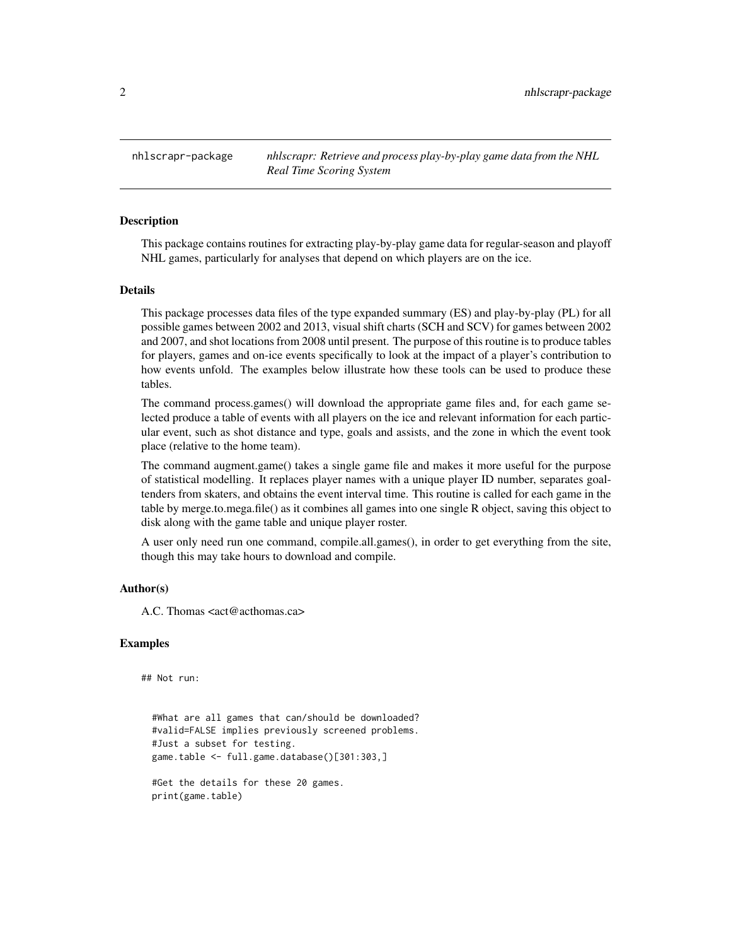<span id="page-1-0"></span>nhlscrapr-package *nhlscrapr: Retrieve and process play-by-play game data from the NHL Real Time Scoring System*

#### **Description**

This package contains routines for extracting play-by-play game data for regular-season and playoff NHL games, particularly for analyses that depend on which players are on the ice.

#### Details

This package processes data files of the type expanded summary (ES) and play-by-play (PL) for all possible games between 2002 and 2013, visual shift charts (SCH and SCV) for games between 2002 and 2007, and shot locations from 2008 until present. The purpose of this routine is to produce tables for players, games and on-ice events specifically to look at the impact of a player's contribution to how events unfold. The examples below illustrate how these tools can be used to produce these tables.

The command process.games() will download the appropriate game files and, for each game selected produce a table of events with all players on the ice and relevant information for each particular event, such as shot distance and type, goals and assists, and the zone in which the event took place (relative to the home team).

The command augment.game() takes a single game file and makes it more useful for the purpose of statistical modelling. It replaces player names with a unique player ID number, separates goaltenders from skaters, and obtains the event interval time. This routine is called for each game in the table by merge.to.mega.file() as it combines all games into one single R object, saving this object to disk along with the game table and unique player roster.

A user only need run one command, compile.all.games(), in order to get everything from the site, though this may take hours to download and compile.

#### Author(s)

A.C. Thomas <act@acthomas.ca>

#### Examples

## Not run:

#What are all games that can/should be downloaded? #valid=FALSE implies previously screened problems. #Just a subset for testing. game.table <- full.game.database()[301:303,]

#Get the details for these 20 games. print(game.table)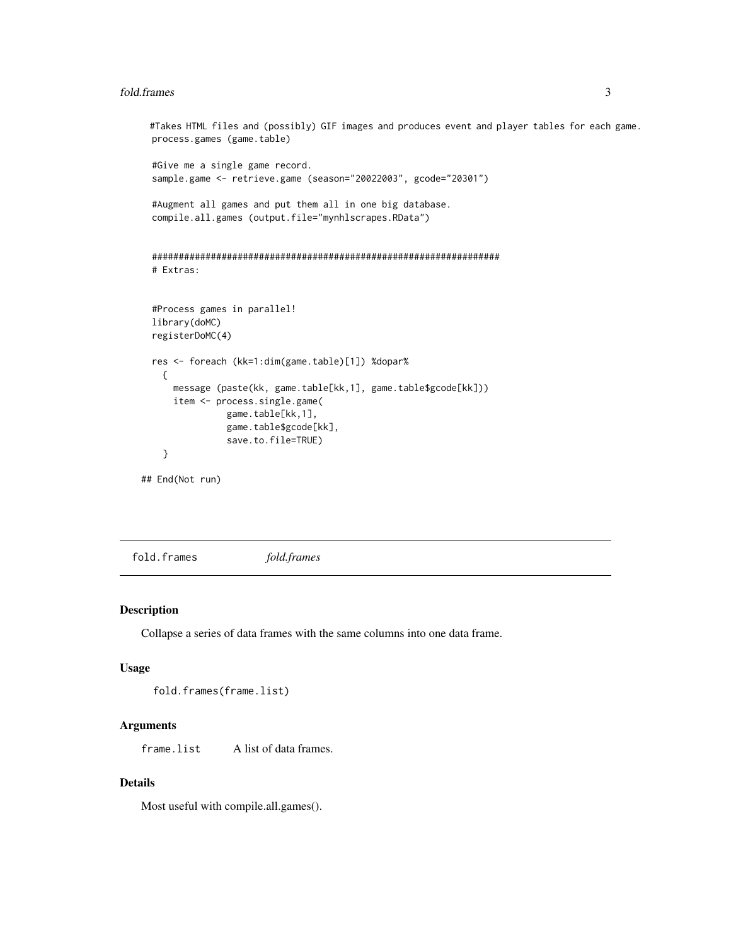#### <span id="page-2-0"></span>fold.frames 3

```
#Takes HTML files and (possibly) GIF images and produces event and player tables for each game.
 process.games (game.table)
 #Give me a single game record.
 sample.game <- retrieve.game (season="20022003", gcode="20301")
 #Augment all games and put them all in one big database.
 compile.all.games (output.file="mynhlscrapes.RData")
 #################################################################
 # Extras:
 #Process games in parallel!
 library(doMC)
 registerDoMC(4)
 res <- foreach (kk=1:dim(game.table)[1]) %dopar%
   {
     message (paste(kk, game.table[kk,1], game.table$gcode[kk]))
     item <- process.single.game(
                game.table[kk,1],
                game.table$gcode[kk],
                save.to.file=TRUE)
    }
## End(Not run)
```
fold.frames *fold.frames*

# Description

Collapse a series of data frames with the same columns into one data frame.

#### Usage

```
fold.frames(frame.list)
```
#### Arguments

frame.list A list of data frames.

### Details

Most useful with compile.all.games().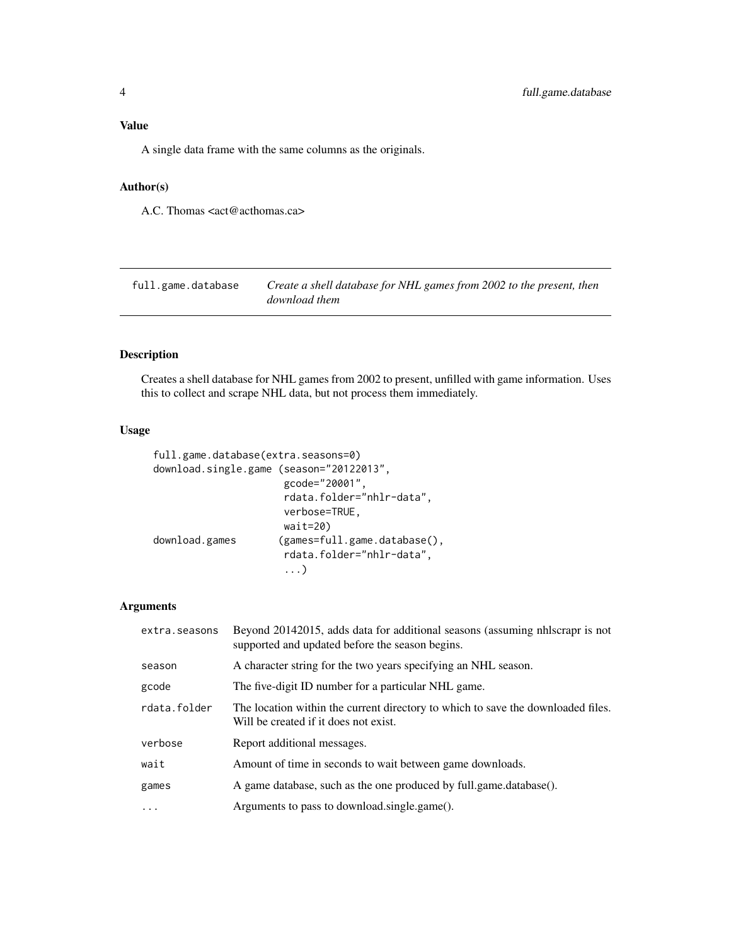# <span id="page-3-0"></span>Value

A single data frame with the same columns as the originals.

### Author(s)

A.C. Thomas <act@acthomas.ca>

| full.game.database | Create a shell database for NHL games from 2002 to the present, then |
|--------------------|----------------------------------------------------------------------|
|                    | download them                                                        |

# Description

Creates a shell database for NHL games from 2002 to present, unfilled with game information. Uses this to collect and scrape NHL data, but not process them immediately.

#### Usage

```
full.game.database(extra.seasons=0)
download.single.game (season="20122013",
                     gcode="20001",
                     rdata.folder="nhlr-data",
                     verbose=TRUE,
                     wait=20)
download.games (games=full.game.database(),
                     rdata.folder="nhlr-data",
                     ...)
```
### Arguments

| extra.seasons | Beyond 20142015, adds data for additional seasons (assuming nhascrapr is not<br>supported and updated before the season begins. |
|---------------|---------------------------------------------------------------------------------------------------------------------------------|
| season        | A character string for the two years specifying an NHL season.                                                                  |
| gcode         | The five-digit ID number for a particular NHL game.                                                                             |
| rdata.folder  | The location within the current directory to which to save the downloaded files.<br>Will be created if it does not exist.       |
| verbose       | Report additional messages.                                                                                                     |
| wait          | Amount of time in seconds to wait between game downloads.                                                                       |
| games         | A game database, such as the one produced by full.game.database().                                                              |
| .             | Arguments to pass to download.single.game().                                                                                    |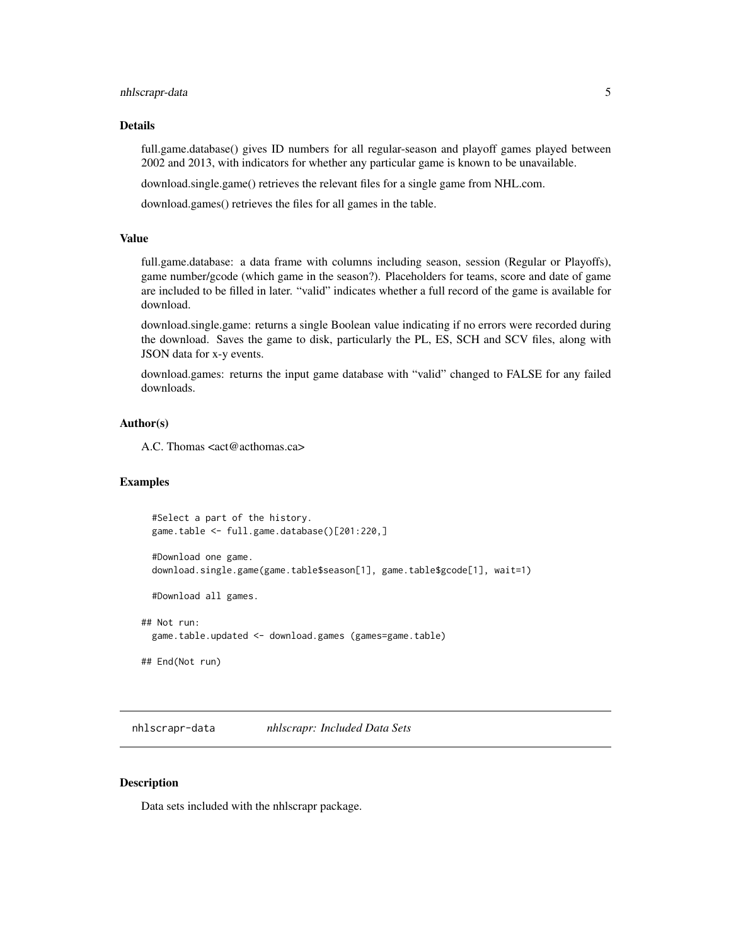#### <span id="page-4-0"></span>nhlscrapr-data 5

#### Details

full.game.database() gives ID numbers for all regular-season and playoff games played between 2002 and 2013, with indicators for whether any particular game is known to be unavailable.

download.single.game() retrieves the relevant files for a single game from NHL.com.

download.games() retrieves the files for all games in the table.

#### Value

full.game.database: a data frame with columns including season, session (Regular or Playoffs), game number/gcode (which game in the season?). Placeholders for teams, score and date of game are included to be filled in later. "valid" indicates whether a full record of the game is available for download.

download.single.game: returns a single Boolean value indicating if no errors were recorded during the download. Saves the game to disk, particularly the PL, ES, SCH and SCV files, along with JSON data for x-y events.

download.games: returns the input game database with "valid" changed to FALSE for any failed downloads.

#### Author(s)

A.C. Thomas <act@acthomas.ca>

#### Examples

```
#Select a part of the history.
game.table <- full.game.database()[201:220,]
```
#Download one game. download.single.game(game.table\$season[1], game.table\$gcode[1], wait=1)

#Download all games.

```
## Not run:
 game.table.updated <- download.games (games=game.table)
```
## End(Not run)

nhlscrapr-data *nhlscrapr: Included Data Sets*

### **Description**

Data sets included with the nhlscrapr package.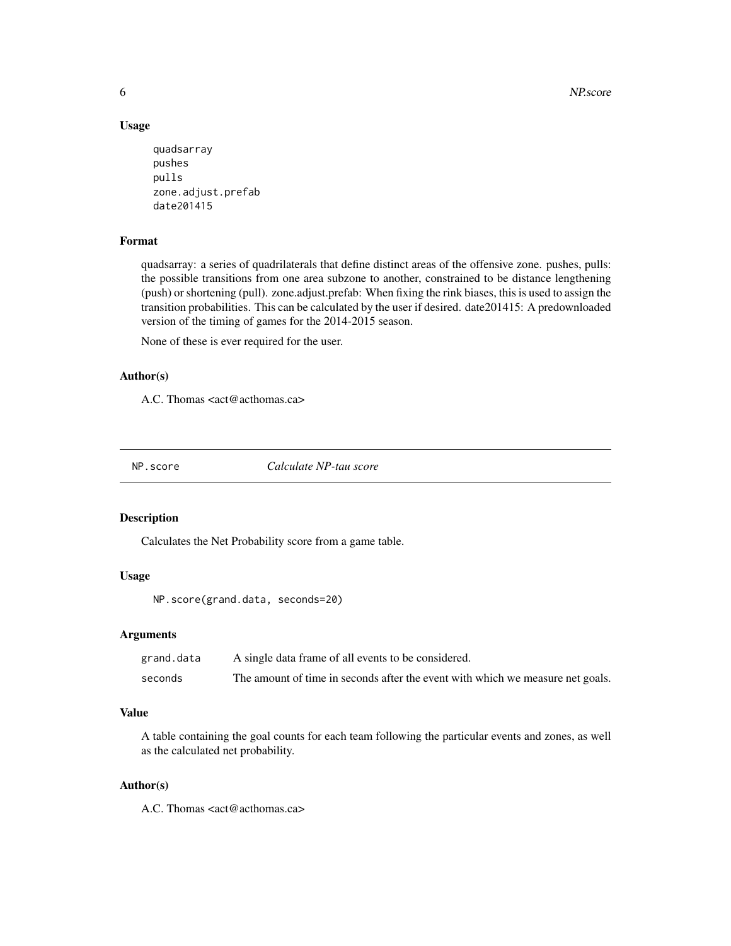6 NP.score

#### Usage

```
quadsarray
pushes
pulls
zone.adjust.prefab
date201415
```
# Format

quadsarray: a series of quadrilaterals that define distinct areas of the offensive zone. pushes, pulls: the possible transitions from one area subzone to another, constrained to be distance lengthening (push) or shortening (pull). zone.adjust.prefab: When fixing the rink biases, this is used to assign the transition probabilities. This can be calculated by the user if desired. date201415: A predownloaded version of the timing of games for the 2014-2015 season.

None of these is ever required for the user.

### Author(s)

A.C. Thomas <act@acthomas.ca>

NP.score *Calculate NP-tau score*

## Description

Calculates the Net Probability score from a game table.

# Usage

```
NP.score(grand.data, seconds=20)
```
#### Arguments

| grand.data | A single data frame of all events to be considered.                            |
|------------|--------------------------------------------------------------------------------|
| seconds    | The amount of time in seconds after the event with which we measure net goals. |

#### Value

A table containing the goal counts for each team following the particular events and zones, as well as the calculated net probability.

#### Author(s)

A.C. Thomas <act@acthomas.ca>

<span id="page-5-0"></span>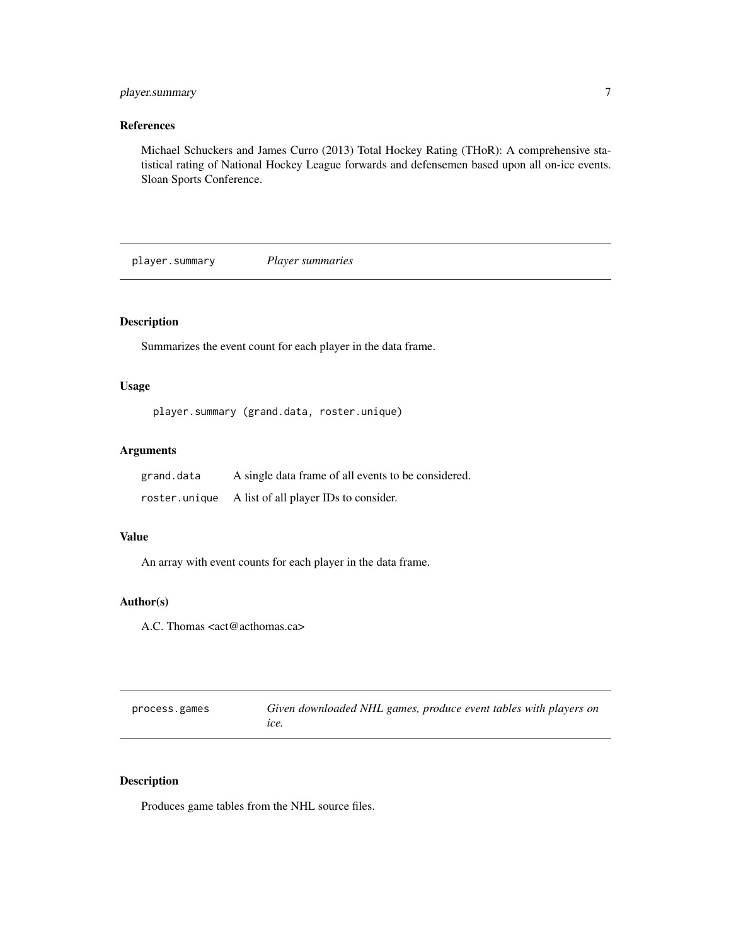# <span id="page-6-0"></span>player.summary 7

# References

Michael Schuckers and James Curro (2013) Total Hockey Rating (THoR): A comprehensive statistical rating of National Hockey League forwards and defensemen based upon all on-ice events. Sloan Sports Conference.

player.summary *Player summaries*

# Description

Summarizes the event count for each player in the data frame.

# Usage

```
player.summary (grand.data, roster.unique)
```
# Arguments

| grand.data | A single data frame of all events to be considered. |
|------------|-----------------------------------------------------|
|            | roster.unique A list of all player IDs to consider. |

#### Value

An array with event counts for each player in the data frame.

# Author(s)

A.C. Thomas <act@acthomas.ca>

| process.games | Given downloaded NHL games, produce event tables with players on |
|---------------|------------------------------------------------------------------|
|               | ice.                                                             |

# Description

Produces game tables from the NHL source files.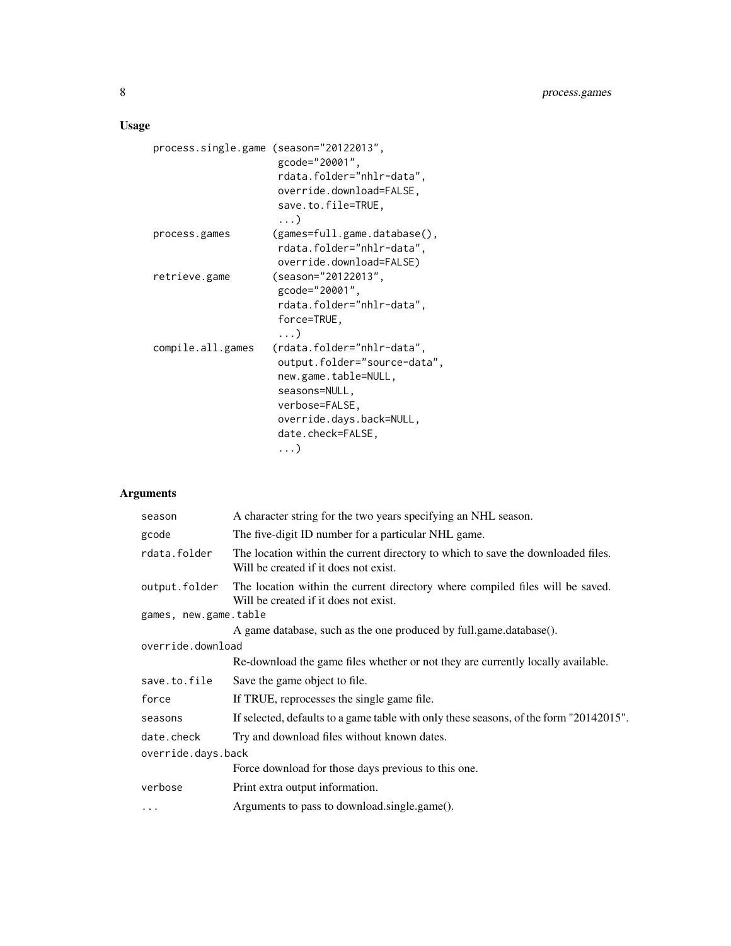# Usage

```
process.single.game (season="20122013",
                    gcode="20001",
                    rdata.folder="nhlr-data",
                    override.download=FALSE,
                    save.to.file=TRUE,
                     ...)
process.games (games=full.game.database(),
                    rdata.folder="nhlr-data",
                    override.download=FALSE)
retrieve.game (season="20122013",
                    gcode="20001",
                    rdata.folder="nhlr-data",
                    force=TRUE,
                     ...)
compile.all.games (rdata.folder="nhlr-data",
                    output.folder="source-data",
                    new.game.table=NULL,
                    seasons=NULL,
                    verbose=FALSE,
                    override.days.back=NULL,
                    date.check=FALSE,
                     ...)
```
# Arguments

| season                | A character string for the two years specifying an NHL season.                                                            |  |
|-----------------------|---------------------------------------------------------------------------------------------------------------------------|--|
| gcode                 | The five-digit ID number for a particular NHL game.                                                                       |  |
| rdata.folder          | The location within the current directory to which to save the downloaded files.<br>Will be created if it does not exist. |  |
| output.folder         | The location within the current directory where compiled files will be saved.<br>Will be created if it does not exist.    |  |
| games, new.game.table |                                                                                                                           |  |
|                       | A game database, such as the one produced by full.game.database().                                                        |  |
| override.download     |                                                                                                                           |  |
|                       | Re-download the game files whether or not they are currently locally available.                                           |  |
| save.to.file          | Save the game object to file.                                                                                             |  |
| force                 | If TRUE, reprocesses the single game file.                                                                                |  |
| seasons               | If selected, defaults to a game table with only these seasons, of the form "20142015".                                    |  |
| date.check            | Try and download files without known dates.                                                                               |  |
| override.days.back    |                                                                                                                           |  |
|                       | Force download for those days previous to this one.                                                                       |  |
| verbose               | Print extra output information.                                                                                           |  |
| $\cdots$              | Arguments to pass to download.single.game().                                                                              |  |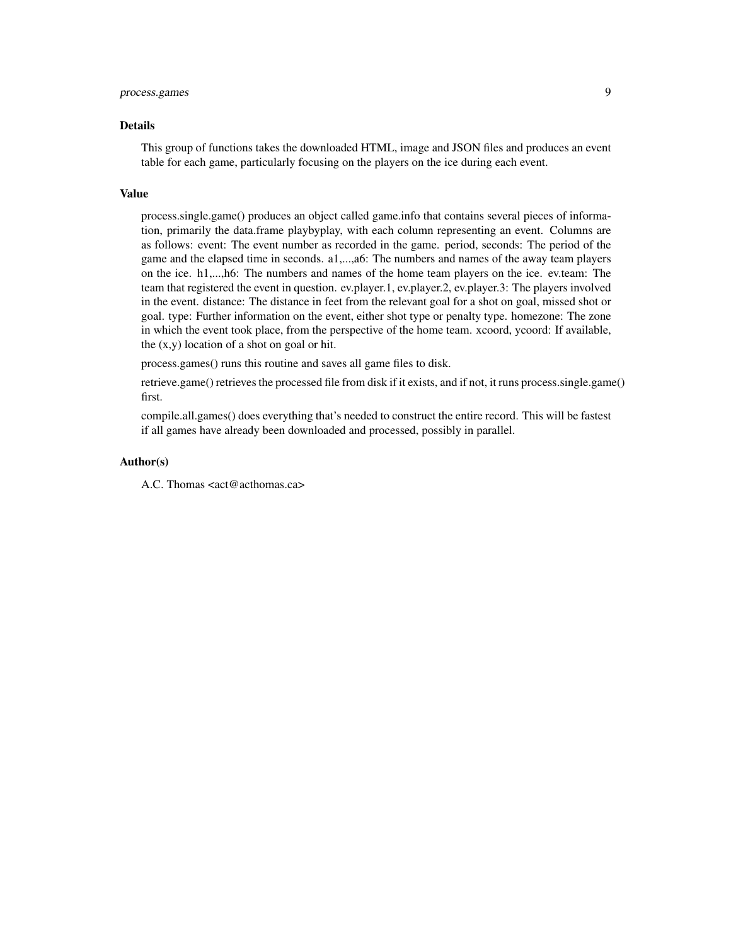# process.games 9

#### Details

This group of functions takes the downloaded HTML, image and JSON files and produces an event table for each game, particularly focusing on the players on the ice during each event.

#### Value

process.single.game() produces an object called game.info that contains several pieces of information, primarily the data.frame playbyplay, with each column representing an event. Columns are as follows: event: The event number as recorded in the game. period, seconds: The period of the game and the elapsed time in seconds. a1,...,a6: The numbers and names of the away team players on the ice. h1,...,h6: The numbers and names of the home team players on the ice. ev.team: The team that registered the event in question. ev.player.1, ev.player.2, ev.player.3: The players involved in the event. distance: The distance in feet from the relevant goal for a shot on goal, missed shot or goal. type: Further information on the event, either shot type or penalty type. homezone: The zone in which the event took place, from the perspective of the home team. xcoord, ycoord: If available, the (x,y) location of a shot on goal or hit.

process.games() runs this routine and saves all game files to disk.

retrieve.game() retrieves the processed file from disk if it exists, and if not, it runs process.single.game() first.

compile.all.games() does everything that's needed to construct the entire record. This will be fastest if all games have already been downloaded and processed, possibly in parallel.

#### Author(s)

A.C. Thomas <act@acthomas.ca>